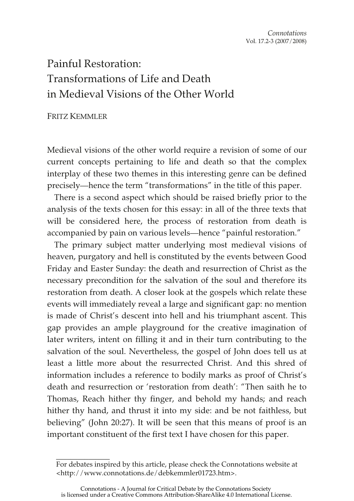# Painful Restoration: Transformations of Life and Death in Medieval Visions of the Other World

# FRITZ KEMMLER

\_\_\_\_\_\_\_\_\_\_\_\_\_\_\_

Medieval visions of the other world require a revision of some of our current concepts pertaining to life and death so that the complex interplay of these two themes in this interesting genre can be defined precisely—hence the term "transformations" in the title of this paper.

There is a second aspect which should be raised briefly prior to the analysis of the texts chosen for this essay: in all of the three texts that will be considered here, the process of restoration from death is accompanied by pain on various levels—hence "painful restoration."

The primary subject matter underlying most medieval visions of heaven, purgatory and hell is constituted by the events between Good Friday and Easter Sunday: the death and resurrection of Christ as the necessary precondition for the salvation of the soul and therefore its restoration from death. A closer look at the gospels which relate these events will immediately reveal a large and significant gap: no mention is made of Christ's descent into hell and his triumphant ascent. This gap provides an ample playground for the creative imagination of later writers, intent on filling it and in their turn contributing to the salvation of the soul. Nevertheless, the gospel of John does tell us at least a little more about the resurrected Christ. And this shred of information includes a reference to bodily marks as proof of Christ's death and resurrection or 'restoration from death': "Then saith he to Thomas, Reach hither thy finger, and behold my hands; and reach hither thy hand, and thrust it into my side: and be not faithless, but believing" (John 20:27). It will be seen that this means of proof is an important constituent of the first text I have chosen for this paper.

For debates inspired by this article, please check the Connotations website at <http://www.connotations.de/debkemmler01723.htm>.

Connotations - A Journal for Critical Debate by the Connotations Society is licensed under a Creative Commons Attribution-ShareAlike 4.0 International License.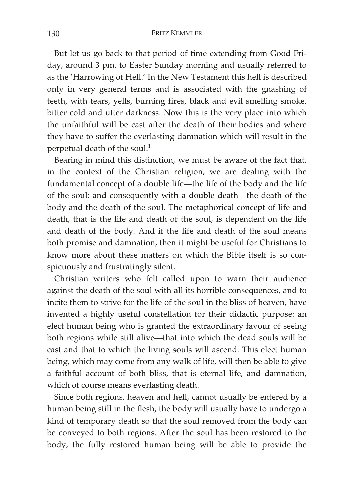But let us go back to that period of time extending from Good Friday, around 3 pm, to Easter Sunday morning and usually referred to as the 'Harrowing of Hell.' In the New Testament this hell is described only in very general terms and is associated with the gnashing of teeth, with tears, yells, burning fires, black and evil smelling smoke, bitter cold and utter darkness. Now this is the very place into which the unfaithful will be cast after the death of their bodies and where they have to suffer the everlasting damnation which will result in the perpetual death of the soul.<sup>1</sup>

Bearing in mind this distinction, we must be aware of the fact that, in the context of the Christian religion, we are dealing with the fundamental concept of a double life—the life of the body and the life of the soul; and consequently with a double death—the death of the body and the death of the soul. The metaphorical concept of life and death, that is the life and death of the soul, is dependent on the life and death of the body. And if the life and death of the soul means both promise and damnation, then it might be useful for Christians to know more about these matters on which the Bible itself is so conspicuously and frustratingly silent.

Christian writers who felt called upon to warn their audience against the death of the soul with all its horrible consequences, and to incite them to strive for the life of the soul in the bliss of heaven, have invented a highly useful constellation for their didactic purpose: an elect human being who is granted the extraordinary favour of seeing both regions while still alive—that into which the dead souls will be cast and that to which the living souls will ascend. This elect human being, which may come from any walk of life, will then be able to give a faithful account of both bliss, that is eternal life, and damnation, which of course means everlasting death.

Since both regions, heaven and hell, cannot usually be entered by a human being still in the flesh, the body will usually have to undergo a kind of temporary death so that the soul removed from the body can be conveyed to both regions. After the soul has been restored to the body, the fully restored human being will be able to provide the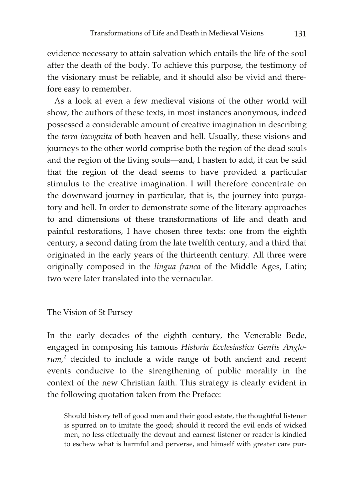evidence necessary to attain salvation which entails the life of the soul after the death of the body. To achieve this purpose, the testimony of the visionary must be reliable, and it should also be vivid and therefore easy to remember.

As a look at even a few medieval visions of the other world will show, the authors of these texts, in most instances anonymous, indeed possessed a considerable amount of creative imagination in describing the *terra incognita* of both heaven and hell. Usually, these visions and journeys to the other world comprise both the region of the dead souls and the region of the living souls—and, I hasten to add, it can be said that the region of the dead seems to have provided a particular stimulus to the creative imagination. I will therefore concentrate on the downward journey in particular, that is, the journey into purgatory and hell. In order to demonstrate some of the literary approaches to and dimensions of these transformations of life and death and painful restorations, I have chosen three texts: one from the eighth century, a second dating from the late twelfth century, and a third that originated in the early years of the thirteenth century. All three were originally composed in the *lingua franca* of the Middle Ages, Latin; two were later translated into the vernacular.

The Vision of St Fursey

In the early decades of the eighth century, the Venerable Bede, engaged in composing his famous *Historia Ecclesiastica Gentis Anglorum,*<sup>2</sup> decided to include a wide range of both ancient and recent events conducive to the strengthening of public morality in the context of the new Christian faith. This strategy is clearly evident in the following quotation taken from the Preface:

Should history tell of good men and their good estate, the thoughtful listener is spurred on to imitate the good; should it record the evil ends of wicked men, no less effectually the devout and earnest listener or reader is kindled to eschew what is harmful and perverse, and himself with greater care pur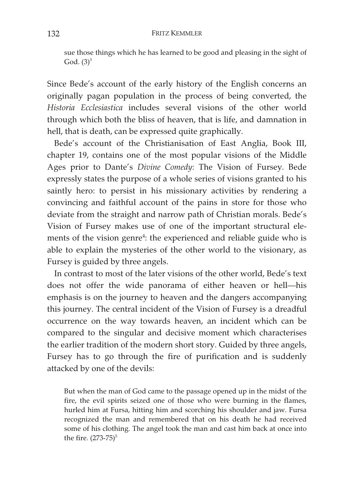sue those things which he has learned to be good and pleasing in the sight of God.  $(3)^3$ 

Since Bede's account of the early history of the English concerns an originally pagan population in the process of being converted, the *Historia Ecclesiastica* includes several visions of the other world through which both the bliss of heaven, that is life, and damnation in hell, that is death, can be expressed quite graphically.

Bede's account of the Christianisation of East Anglia, Book III, chapter 19, contains one of the most popular visions of the Middle Ages prior to Dante's *Divine Comedy*: The Vision of Fursey. Bede expressly states the purpose of a whole series of visions granted to his saintly hero: to persist in his missionary activities by rendering a convincing and faithful account of the pains in store for those who deviate from the straight and narrow path of Christian morals. Bede's Vision of Fursey makes use of one of the important structural elements of the vision genre<sup>4</sup>: the experienced and reliable guide who is able to explain the mysteries of the other world to the visionary, as Fursey is guided by three angels.

In contrast to most of the later visions of the other world, Bede's text does not offer the wide panorama of either heaven or hell—his emphasis is on the journey to heaven and the dangers accompanying this journey. The central incident of the Vision of Fursey is a dreadful occurrence on the way towards heaven, an incident which can be compared to the singular and decisive moment which characterises the earlier tradition of the modern short story. Guided by three angels, Fursey has to go through the fire of purification and is suddenly attacked by one of the devils:

But when the man of God came to the passage opened up in the midst of the fire, the evil spirits seized one of those who were burning in the flames, hurled him at Fursa, hitting him and scorching his shoulder and jaw. Fursa recognized the man and remembered that on his death he had received some of his clothing. The angel took the man and cast him back at once into the fire.  $(273-75)^5$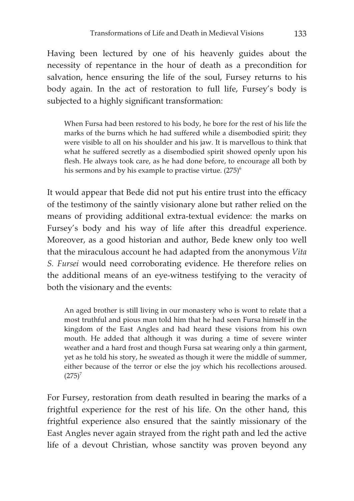Having been lectured by one of his heavenly guides about the necessity of repentance in the hour of death as a precondition for salvation, hence ensuring the life of the soul, Fursey returns to his body again. In the act of restoration to full life, Fursey's body is subjected to a highly significant transformation:

When Fursa had been restored to his body, he bore for the rest of his life the marks of the burns which he had suffered while a disembodied spirit; they were visible to all on his shoulder and his jaw. It is marvellous to think that what he suffered secretly as a disembodied spirit showed openly upon his flesh. He always took care, as he had done before, to encourage all both by his sermons and by his example to practise virtue.  $(275)^6$ 

It would appear that Bede did not put his entire trust into the efficacy of the testimony of the saintly visionary alone but rather relied on the means of providing additional extra-textual evidence: the marks on Fursey's body and his way of life after this dreadful experience. Moreover, as a good historian and author, Bede knew only too well that the miraculous account he had adapted from the anonymous *Vita S. Fursei* would need corroborating evidence. He therefore relies on the additional means of an eye-witness testifying to the veracity of both the visionary and the events:

An aged brother is still living in our monastery who is wont to relate that a most truthful and pious man told him that he had seen Fursa himself in the kingdom of the East Angles and had heard these visions from his own mouth. He added that although it was during a time of severe winter weather and a hard frost and though Fursa sat wearing only a thin garment, yet as he told his story, he sweated as though it were the middle of summer, either because of the terror or else the joy which his recollections aroused.  $(275)^7$ 

For Fursey, restoration from death resulted in bearing the marks of a frightful experience for the rest of his life. On the other hand, this frightful experience also ensured that the saintly missionary of the East Angles never again strayed from the right path and led the active life of a devout Christian, whose sanctity was proven beyond any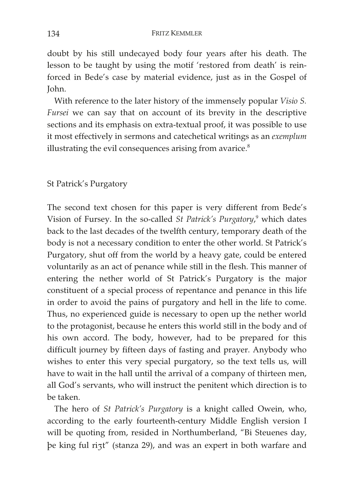doubt by his still undecayed body four years after his death. The lesson to be taught by using the motif 'restored from death' is reinforced in Bede's case by material evidence, just as in the Gospel of John.

With reference to the later history of the immensely popular *Visio S. Fursei* we can say that on account of its brevity in the descriptive sections and its emphasis on extra-textual proof, it was possible to use it most effectively in sermons and catechetical writings as an *exemplum* illustrating the evil consequences arising from avarice.<sup>8</sup>

# St Patrick's Purgatory

The second text chosen for this paper is very different from Bede's Vision of Fursey. In the so-called *St Patrick's Purgatory*,<sup>9</sup> which dates back to the last decades of the twelfth century, temporary death of the body is not a necessary condition to enter the other world. St Patrick's Purgatory, shut off from the world by a heavy gate, could be entered voluntarily as an act of penance while still in the flesh. This manner of entering the nether world of St Patrick's Purgatory is the major constituent of a special process of repentance and penance in this life in order to avoid the pains of purgatory and hell in the life to come. Thus, no experienced guide is necessary to open up the nether world to the protagonist, because he enters this world still in the body and of his own accord. The body, however, had to be prepared for this difficult journey by fifteen days of fasting and prayer. Anybody who wishes to enter this very special purgatory, so the text tells us, will have to wait in the hall until the arrival of a company of thirteen men, all God's servants, who will instruct the penitent which direction is to be taken.

The hero of *St Patrick's Purgatory* is a knight called Owein, who, according to the early fourteenth-century Middle English version I will be quoting from, resided in Northumberland, "Bi Steuenes day, þe king ful ri3t" (stanza 29), and was an expert in both warfare and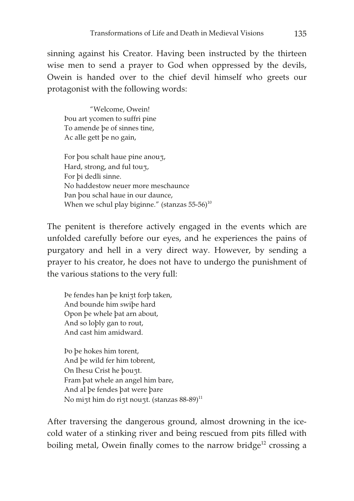sinning against his Creator. Having been instructed by the thirteen wise men to send a prayer to God when oppressed by the devils, Owein is handed over to the chief devil himself who greets our protagonist with the following words:

 "Welcome, Owein! Þou art ycomen to suffri pine To amende þe of sinnes tine, Ac alle gett þe no gain,

For þou schalt haue pine anou<sub>3</sub>, Hard, strong, and ful tou<sub>3</sub>, For þi dedli sinne. No haddestow neuer more meschaunce Þan þou schal haue in our daunce, When we schul play biginne." (stanzas  $55-56$ )<sup>10</sup>

The penitent is therefore actively engaged in the events which are unfolded carefully before our eyes, and he experiences the pains of purgatory and hell in a very direct way. However, by sending a prayer to his creator, he does not have to undergo the punishment of the various stations to the very full:

Þe fendes han þe knizt forþ taken, And bounde him swiþe hard Opon þe whele þat arn about, And so loþly gan to rout, And cast him amidward.

Þo þe hokes him torent, And þe wild fer him tobrent, On Ihesu Crist he þouzt. Fram þat whele an angel him bare, And al þe fendes þat were þare No mizt him do rizt nouzt. (stanzas  $88-89$ )<sup>11</sup>

After traversing the dangerous ground, almost drowning in the icecold water of a stinking river and being rescued from pits filled with boiling metal, Owein finally comes to the narrow bridge<sup>12</sup> crossing a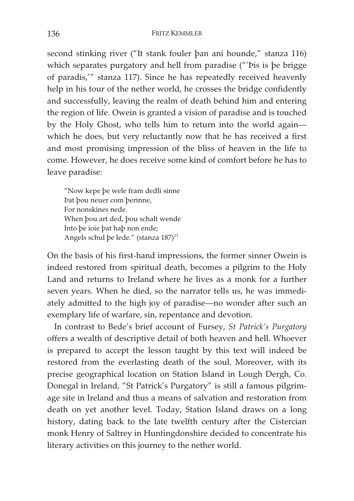second stinking river ("It stank fouler þan ani hounde," stanza 116) which separates purgatory and hell from paradise ("'Þis is þe brigge of paradis,'" stanza 117). Since he has repeatedly received heavenly help in his tour of the nether world, he crosses the bridge confidently and successfully, leaving the realm of death behind him and entering the region of life. Owein is granted a vision of paradise and is touched by the Holy Ghost, who tells him to return into the world again which he does, but very reluctantly now that he has received a first and most promising impression of the bliss of heaven in the life to come. However, he does receive some kind of comfort before he has to leave paradise:

"Now kepe þe wele fram dedli sinne Þat þou neuer com þerinne, For nonskines nede. When þou art ded, þou schalt wende Into þe ioie þat haþ non ende; Angels schul þe lede." (stanza 187)<sup>13</sup>

On the basis of his first-hand impressions, the former sinner Owein is indeed restored from spiritual death, becomes a pilgrim to the Holy Land and returns to Ireland where he lives as a monk for a further seven years. When he died, so the narrator tells us, he was immediately admitted to the high joy of paradise—no wonder after such an exemplary life of warfare, sin, repentance and devotion.

In contrast to Bede's brief account of Fursey, *St Patrick's Purgatory* offers a wealth of descriptive detail of both heaven and hell. Whoever is prepared to accept the lesson taught by this text will indeed be restored from the everlasting death of the soul. Moreover, with its precise geographical location on Station Island in Lough Dergh, Co. Donegal in Ireland, "St Patrick's Purgatory" is still a famous pilgrimage site in Ireland and thus a means of salvation and restoration from death on yet another level. Today, Station Island draws on a long history, dating back to the late twelfth century after the Cistercian monk Henry of Saltrey in Huntingdonshire decided to concentrate his literary activities on this journey to the nether world.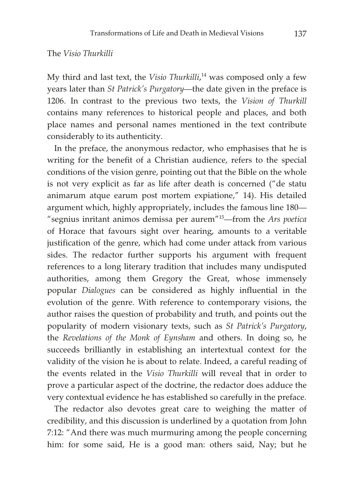## The *Visio Thurkilli*

My third and last text, the *Visio Thurkilli*, 14 was composed only a few years later than *St Patrick's Purgatory*—the date given in the preface is 1206. In contrast to the previous two texts, the *Vision of Thurkill* contains many references to historical people and places, and both place names and personal names mentioned in the text contribute considerably to its authenticity.

In the preface, the anonymous redactor, who emphasises that he is writing for the benefit of a Christian audience, refers to the special conditions of the vision genre, pointing out that the Bible on the whole is not very explicit as far as life after death is concerned ("de statu animarum atque earum post mortem expiatione," 14). His detailed argument which, highly appropriately, includes the famous line 180— "segnius inritant animos demissa per aurem"15—from the *Ars poetica* of Horace that favours sight over hearing, amounts to a veritable justification of the genre, which had come under attack from various sides. The redactor further supports his argument with frequent references to a long literary tradition that includes many undisputed authorities, among them Gregory the Great, whose immensely popular *Dialogues* can be considered as highly influential in the evolution of the genre. With reference to contemporary visions, the author raises the question of probability and truth, and points out the popularity of modern visionary texts, such as *St Patrick's Purgatory*, the *Revelations of the Monk of Eynsham* and others. In doing so, he succeeds brilliantly in establishing an intertextual context for the validity of the vision he is about to relate. Indeed, a careful reading of the events related in the *Visio Thurkilli* will reveal that in order to prove a particular aspect of the doctrine, the redactor does adduce the very contextual evidence he has established so carefully in the preface.

The redactor also devotes great care to weighing the matter of credibility, and this discussion is underlined by a quotation from John 7:12: "And there was much murmuring among the people concerning him: for some said, He is a good man: others said, Nay; but he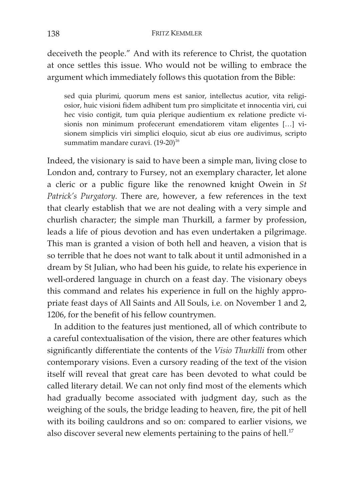## 138 FRITZ KEMMLER

deceiveth the people." And with its reference to Christ, the quotation at once settles this issue. Who would not be willing to embrace the argument which immediately follows this quotation from the Bible:

sed quia plurimi, quorum mens est sanior, intellectus acutior, vita religiosior, huic visioni fidem adhibent tum pro simplicitate et innocentia viri, cui hec visio contigit, tum quia plerique audientium ex relatione predicte visionis non minimum profecerunt emendatiorem vitam eligentes […] visionem simplicis viri simplici eloquio, sicut ab eius ore audivimus, scripto summatim mandare curavi.  $(19-20)^{16}$ 

Indeed, the visionary is said to have been a simple man, living close to London and, contrary to Fursey, not an exemplary character, let alone a cleric or a public figure like the renowned knight Owein in *St Patrick's Purgatory*. There are, however, a few references in the text that clearly establish that we are not dealing with a very simple and churlish character; the simple man Thurkill, a farmer by profession, leads a life of pious devotion and has even undertaken a pilgrimage. This man is granted a vision of both hell and heaven, a vision that is so terrible that he does not want to talk about it until admonished in a dream by St Julian, who had been his guide, to relate his experience in well-ordered language in church on a feast day. The visionary obeys this command and relates his experience in full on the highly appropriate feast days of All Saints and All Souls, i.e. on November 1 and 2, 1206, for the benefit of his fellow countrymen.

In addition to the features just mentioned, all of which contribute to a careful contextualisation of the vision, there are other features which significantly differentiate the contents of the *Visio Thurkilli* from other contemporary visions. Even a cursory reading of the text of the vision itself will reveal that great care has been devoted to what could be called literary detail. We can not only find most of the elements which had gradually become associated with judgment day, such as the weighing of the souls, the bridge leading to heaven, fire, the pit of hell with its boiling cauldrons and so on: compared to earlier visions, we also discover several new elements pertaining to the pains of hell.<sup>17</sup>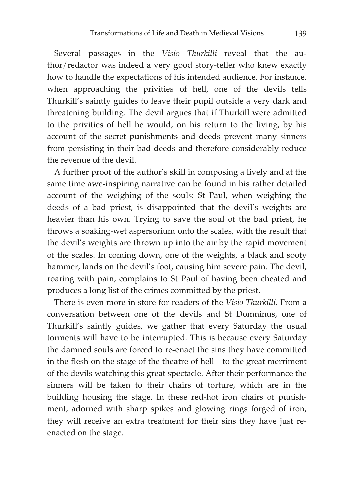Several passages in the *Visio Thurkilli* reveal that the author/redactor was indeed a very good story-teller who knew exactly how to handle the expectations of his intended audience. For instance, when approaching the privities of hell, one of the devils tells Thurkill's saintly guides to leave their pupil outside a very dark and threatening building. The devil argues that if Thurkill were admitted to the privities of hell he would, on his return to the living, by his account of the secret punishments and deeds prevent many sinners from persisting in their bad deeds and therefore considerably reduce the revenue of the devil.

A further proof of the author's skill in composing a lively and at the same time awe-inspiring narrative can be found in his rather detailed account of the weighing of the souls: St Paul, when weighing the deeds of a bad priest, is disappointed that the devil's weights are heavier than his own. Trying to save the soul of the bad priest, he throws a soaking-wet aspersorium onto the scales, with the result that the devil's weights are thrown up into the air by the rapid movement of the scales. In coming down, one of the weights, a black and sooty hammer, lands on the devil's foot, causing him severe pain. The devil, roaring with pain, complains to St Paul of having been cheated and produces a long list of the crimes committed by the priest.

There is even more in store for readers of the *Visio Thurkilli*. From a conversation between one of the devils and St Domninus, one of Thurkill's saintly guides, we gather that every Saturday the usual torments will have to be interrupted. This is because every Saturday the damned souls are forced to re-enact the sins they have committed in the flesh on the stage of the theatre of hell—to the great merriment of the devils watching this great spectacle. After their performance the sinners will be taken to their chairs of torture, which are in the building housing the stage. In these red-hot iron chairs of punishment, adorned with sharp spikes and glowing rings forged of iron, they will receive an extra treatment for their sins they have just reenacted on the stage.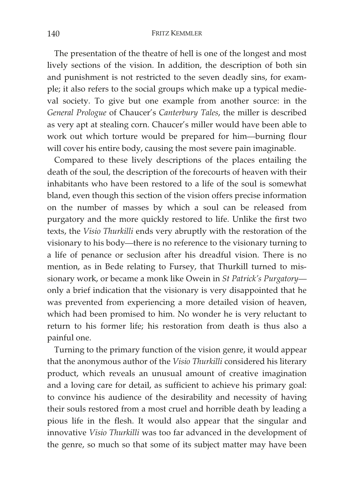#### 140 FRITZ KEMMLER

The presentation of the theatre of hell is one of the longest and most lively sections of the vision. In addition, the description of both sin and punishment is not restricted to the seven deadly sins, for example; it also refers to the social groups which make up a typical medieval society. To give but one example from another source: in the *General Prologue* of Chaucer's *Canterbury Tales*, the miller is described as very apt at stealing corn. Chaucer's miller would have been able to work out which torture would be prepared for him—burning flour will cover his entire body, causing the most severe pain imaginable.

Compared to these lively descriptions of the places entailing the death of the soul, the description of the forecourts of heaven with their inhabitants who have been restored to a life of the soul is somewhat bland, even though this section of the vision offers precise information on the number of masses by which a soul can be released from purgatory and the more quickly restored to life. Unlike the first two texts, the *Visio Thurkilli* ends very abruptly with the restoration of the visionary to his body—there is no reference to the visionary turning to a life of penance or seclusion after his dreadful vision. There is no mention, as in Bede relating to Fursey, that Thurkill turned to missionary work, or became a monk like Owein in *St Patrick's Purgatory* only a brief indication that the visionary is very disappointed that he was prevented from experiencing a more detailed vision of heaven, which had been promised to him. No wonder he is very reluctant to return to his former life; his restoration from death is thus also a painful one.

Turning to the primary function of the vision genre, it would appear that the anonymous author of the *Visio Thurkilli* considered his literary product, which reveals an unusual amount of creative imagination and a loving care for detail, as sufficient to achieve his primary goal: to convince his audience of the desirability and necessity of having their souls restored from a most cruel and horrible death by leading a pious life in the flesh. It would also appear that the singular and innovative *Visio Thurkilli* was too far advanced in the development of the genre, so much so that some of its subject matter may have been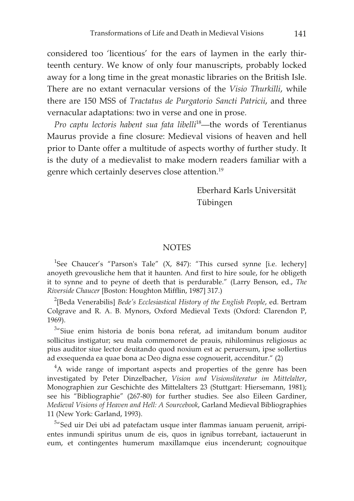considered too 'licentious' for the ears of laymen in the early thirteenth century. We know of only four manuscripts, probably locked away for a long time in the great monastic libraries on the British Isle. There are no extant vernacular versions of the *Visio Thurkilli*, while there are 150 MSS of *Tractatus de Purgatorio Sancti Patricii*, and three vernacular adaptations: two in verse and one in prose.

*Pro captu lectoris habent sua fata libelli*18—the words of Terentianus Maurus provide a fine closure: Medieval visions of heaven and hell prior to Dante offer a multitude of aspects worthy of further study. It is the duty of a medievalist to make modern readers familiar with a genre which certainly deserves close attention.19

> Eberhard Karls Universität Tübingen

## NOTES

<sup>1</sup>See Chaucer's "Parson's Tale" (X, 847): "This cursed synne [i.e. lechery] anoyeth grevousliche hem that it haunten. And first to hire soule, for he obligeth it to synne and to peyne of deeth that is perdurable." (Larry Benson, ed., *The Riverside Chaucer* [Boston: Houghton Mifflin, 1987] 317.)

2 [Beda Venerabilis] *Bede's Ecclesiastical History of the English People*, ed. Bertram Colgrave and R. A. B. Mynors, Oxford Medieval Texts (Oxford: Clarendon P, 1969).

<sup>3</sup>"Siue enim historia de bonis bona referat, ad imitandum bonum auditor sollicitus instigatur; seu mala commemoret de prauis, nihilominus religiosus ac pius auditor siue lector deuitando quod noxium est ac peruersum, ipse sollertius ad exsequenda ea quae bona ac Deo digna esse cognouerit, accenditur." (2)

<sup>4</sup>A wide range of important aspects and properties of the genre has been investigated by Peter Dinzelbacher, *Vision und Visionsliteratur im Mittelalter*, Monographien zur Geschichte des Mittelalters 23 (Stuttgart: Hiersemann, 1981); see his "Bibliographie" (267-80) for further studies. See also Eileen Gardiner, *Medieval Visions of Heaven and Hell: A Sourcebook*, Garland Medieval Bibliographies 11 (New York: Garland, 1993).

<sup>5</sup>"Sed uir Dei ubi ad patefactam usque inter flammas ianuam peruenit, arripientes inmundi spiritus unum de eis, quos in ignibus torrebant, iactauerunt in eum, et contingentes humerum maxillamque eius incenderunt; cognouitque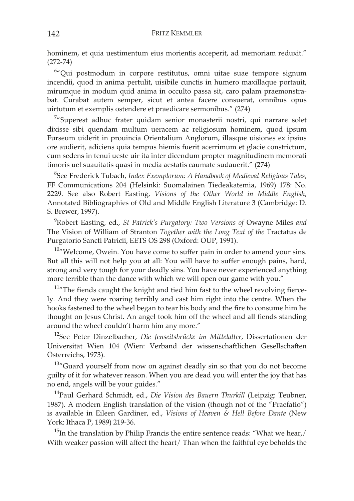hominem, et quia uestimentum eius morientis acceperit, ad memoriam reduxit." (272-74)

6 "Qui postmodum in corpore restitutus, omni uitae suae tempore signum incendii, quod in anima pertulit, uisibile cunctis in humero maxillaque portauit, mirumque in modum quid anima in occulto passa sit, caro palam praemonstrabat. Curabat autem semper, sicut et antea facere consuerat, omnibus opus uirtutum et exemplis ostendere et praedicare sermonibus." (274)

<sup>7</sup>"Superest adhuc frater quidam senior monasterii nostri, qui narrare solet dixisse sibi quendam multum ueracem ac religiosum hominem, quod ipsum Furseum uiderit in prouincia Orientalium Anglorum, illasque uisiones ex ipsius ore audierit, adiciens quia tempus hiemis fuerit acerrimum et glacie constrictum, cum sedens in tenui ueste uir ita inter dicendum propter magnitudinem memorati timoris uel suauitatis quasi in media aestatis caumate sudauerit." (274)

8 See Frederick Tubach, *Index Exemplorum: A Handbook of Medieval Religious Tales*, FF Communications 204 (Helsinki: Suomalainen Tiedeakatemia, 1969) 178: No. 2229. See also Robert Easting, *Visions of the Other World in Middle English*, Annotated Bibliographies of Old and Middle English Literature 3 (Cambridge: D. S. Brewer, 1997).

9 Robert Easting, ed., *St Patrick's Purgatory: Two Versions of* Owayne Miles *and*  The Vision of William of Stranton *Together with the Long Text of the* Tractatus de Purgatorio Sancti Patricii, EETS OS 298 (Oxford: OUP, 1991).

 $10<sup>10</sup>$  Welcome, Owein. You have come to suffer pain in order to amend your sins. But all this will not help you at all: You will have to suffer enough pains, hard, strong and very tough for your deadly sins. You have never experienced anything more terrible than the dance with which we will open our game with you."

 $11<sup>11</sup>$ The fiends caught the knight and tied him fast to the wheel revolving fiercely. And they were roaring terribly and cast him right into the centre. When the hooks fastened to the wheel began to tear his body and the fire to consume him he thought on Jesus Christ. An angel took him off the wheel and all fiends standing around the wheel couldn't harm him any more."

12See Peter Dinzelbacher, *Die Jenseitsbrücke im Mittelalter*, Dissertationen der Universität Wien 104 (Wien: Verband der wissenschaftlichen Gesellschaften Österreichs, 1973).

<sup>13</sup>"Guard yourself from now on against deadly sin so that you do not become guilty of it for whatever reason. When you are dead you will enter the joy that has no end, angels will be your guides."

14Paul Gerhard Schmidt, ed., *Die Vision des Bauern Thurkill* (Leipzig: Teubner, 1987). A modern English translation of the vision (though not of the "Praefatio") is available in Eileen Gardiner, ed., *Visions of Heaven & Hell Before Dante* (New York: Ithaca P, 1989) 219-36.

 $15$ In the translation by Philip Francis the entire sentence reads: "What we hear,/ With weaker passion will affect the heart/ Than when the faithful eye beholds the